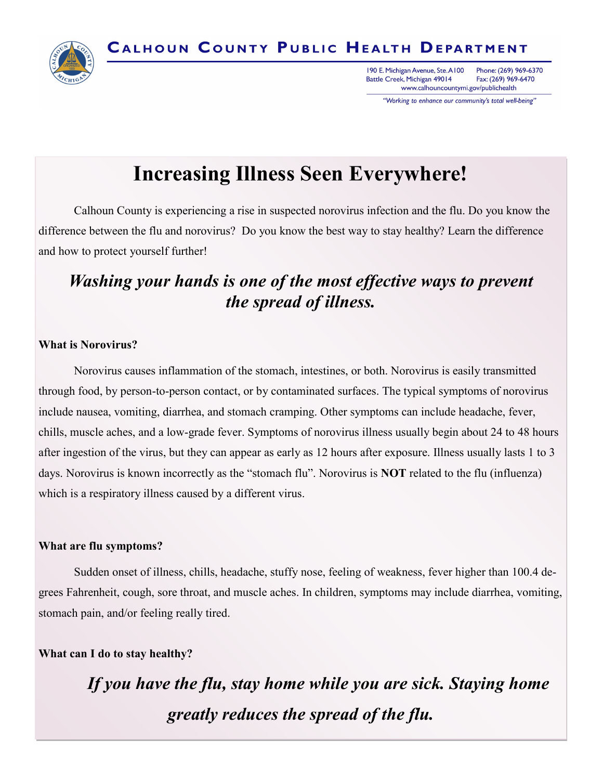

Phone: (269) 969-6370 190 E. Michigan Avenue, Ste. A100 Battle Creek, Michigan 49014 Fax: (269) 969-6470 www.calhouncountymi.gov/publichealth

"Working to enhance our community's total well-being"

# **Increasing Illness Seen Everywhere!**

Calhoun County is experiencing a rise in suspected norovirus infection and the flu. Do you know the difference between the flu and norovirus? Do you know the best way to stay healthy? Learn the difference and how to protect yourself further!

## *Washing your hands is one of the most effective ways to prevent the spread of illness.*

#### **What is Norovirus?**

Norovirus causes inflammation of the stomach, intestines, or both. Norovirus is easily transmitted through food, by person-to-person contact, or by contaminated surfaces. The typical symptoms of norovirus include nausea, vomiting, diarrhea, and stomach cramping. Other symptoms can include headache, fever, chills, muscle aches, and a low-grade fever. Symptoms of norovirus illness usually begin about 24 to 48 hours after ingestion of the virus, but they can appear as early as 12 hours after exposure. Illness usually lasts 1 to 3 days. Norovirus is known incorrectly as the "stomach flu". Norovirus is **NOT** related to the flu (influenza) which is a respiratory illness caused by a different virus.

#### **What are flu symptoms?**

Sudden onset of illness, chills, headache, stuffy nose, feeling of weakness, fever higher than 100.4 degrees Fahrenheit, cough, sore throat, and muscle aches. In children, symptoms may include diarrhea, vomiting, stomach pain, and/or feeling really tired.

### **What can I do to stay healthy?**

*If you have the flu, stay home while you are sick. Staying home greatly reduces the spread of the flu.*